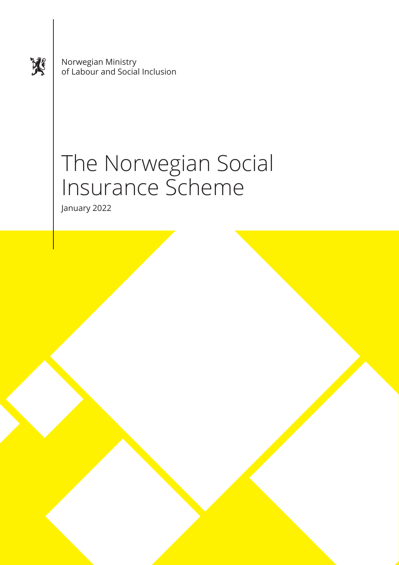奖

Norwegian Ministry of Labour and Social Inclusion

# The Norwegian Social Insurance Scheme

January 2022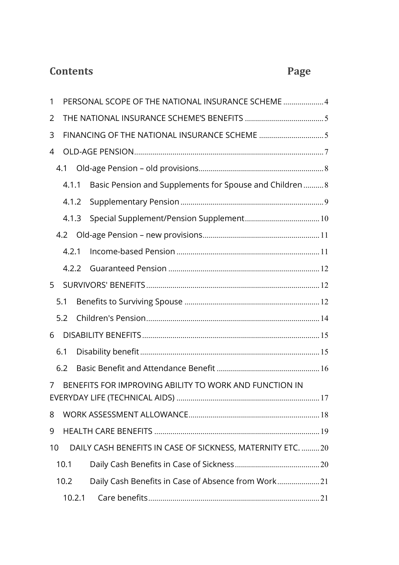### **Contents Page**

| 1                                                                        |       | PERSONAL SCOPE OF THE NATIONAL INSURANCE SCHEME  4 |                                                             |  |  |  |
|--------------------------------------------------------------------------|-------|----------------------------------------------------|-------------------------------------------------------------|--|--|--|
| 2                                                                        |       |                                                    |                                                             |  |  |  |
| 3                                                                        |       |                                                    |                                                             |  |  |  |
| 4                                                                        |       |                                                    |                                                             |  |  |  |
|                                                                          | 4.1   |                                                    |                                                             |  |  |  |
| 4.1.1                                                                    |       |                                                    | Basic Pension and Supplements for Spouse and Children  8    |  |  |  |
|                                                                          | 4.1.2 |                                                    |                                                             |  |  |  |
|                                                                          | 4.1.3 |                                                    |                                                             |  |  |  |
|                                                                          |       |                                                    |                                                             |  |  |  |
|                                                                          | 4.2.1 |                                                    |                                                             |  |  |  |
|                                                                          | 4.2.2 |                                                    |                                                             |  |  |  |
| 5                                                                        |       |                                                    |                                                             |  |  |  |
|                                                                          | 5.1   |                                                    |                                                             |  |  |  |
|                                                                          | 5.2   |                                                    |                                                             |  |  |  |
| 6                                                                        |       |                                                    |                                                             |  |  |  |
|                                                                          | 6.1   |                                                    |                                                             |  |  |  |
|                                                                          | 6.2   |                                                    |                                                             |  |  |  |
| BENEFITS FOR IMPROVING ABILITY TO WORK AND FUNCTION IN<br>$\overline{7}$ |       |                                                    |                                                             |  |  |  |
| 8                                                                        |       |                                                    |                                                             |  |  |  |
| 9                                                                        |       |                                                    |                                                             |  |  |  |
|                                                                          |       |                                                    |                                                             |  |  |  |
| 10                                                                       |       |                                                    | DAILY CASH BENEFITS IN CASE OF SICKNESS, MATERNITY ETC.  20 |  |  |  |
|                                                                          | 10.1  |                                                    |                                                             |  |  |  |
|                                                                          | 10.2  |                                                    | Daily Cash Benefits in Case of Absence from Work21          |  |  |  |
|                                                                          |       | 10.2.1                                             |                                                             |  |  |  |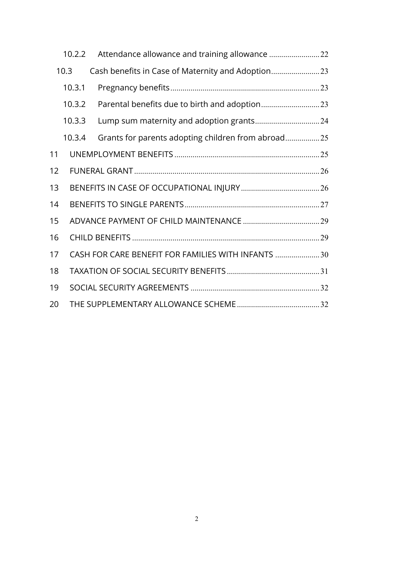|      | 10.2.2 |                                                     |  |  |  |  |  |
|------|--------|-----------------------------------------------------|--|--|--|--|--|
| 10.3 |        | Cash benefits in Case of Maternity and Adoption     |  |  |  |  |  |
|      | 10.3.1 |                                                     |  |  |  |  |  |
|      | 10.3.2 |                                                     |  |  |  |  |  |
|      | 10.3.3 |                                                     |  |  |  |  |  |
|      | 10.3.4 | Grants for parents adopting children from abroad25  |  |  |  |  |  |
| 11   |        |                                                     |  |  |  |  |  |
| 12   |        |                                                     |  |  |  |  |  |
| 13   |        |                                                     |  |  |  |  |  |
| 14   |        |                                                     |  |  |  |  |  |
| 15   |        |                                                     |  |  |  |  |  |
| 16   |        |                                                     |  |  |  |  |  |
| 17   |        | CASH FOR CARE BENEFIT FOR FAMILIES WITH INFANTS  30 |  |  |  |  |  |
| 18   |        |                                                     |  |  |  |  |  |
| 19   |        |                                                     |  |  |  |  |  |
| 20   |        |                                                     |  |  |  |  |  |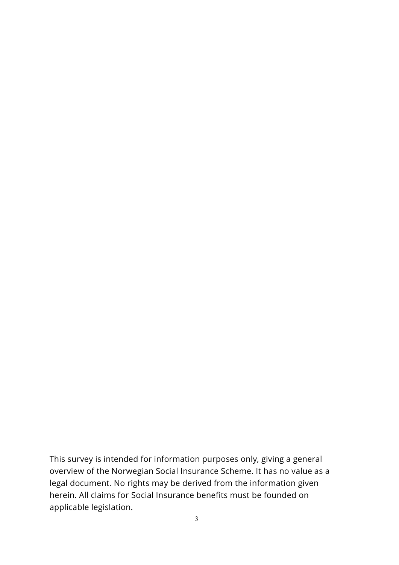This survey is intended for information purposes only, giving a general overview of the Norwegian Social Insurance Scheme. It has no value as a legal document. No rights may be derived from the information given herein. All claims for Social Insurance benefits must be founded on applicable legislation.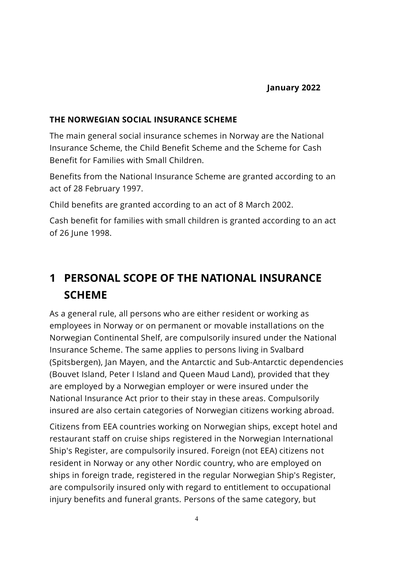#### **THE NORWEGIAN SOCIAL INSURANCE SCHEME**

The main general social insurance schemes in Norway are the National Insurance Scheme, the Child Benefit Scheme and the Scheme for Cash Benefit for Families with Small Children.

Benefits from the National Insurance Scheme are granted according to an act of 28 February 1997.

Child benefits are granted according to an act of 8 March 2002.

Cash benefit for families with small children is granted according to an act of 26 June 1998.

### <span id="page-4-0"></span>**1 PERSONAL SCOPE OF THE NATIONAL INSURANCE SCHEME**

As a general rule, all persons who are either resident or working as employees in Norway or on permanent or movable installations on the Norwegian Continental Shelf, are compulsorily insured under the National Insurance Scheme. The same applies to persons living in Svalbard (Spitsbergen), Jan Mayen, and the [Antarctic](http://en.wikipedia.org/wiki/Antarctica) and [Sub-Antarctic](http://en.wikipedia.org/wiki/Subantarctic) [dependencies](http://en.wikipedia.org/wiki/Dependent_territory) [\(Bouvet](http://en.wikipedia.org/wiki/Bouvet_Island) Island, [Peter I Island](http://en.wikipedia.org/wiki/Peter_I_Island) and [Queen Maud Land\)](http://en.wikipedia.org/wiki/Queen_Maud_Land), provided that they are employed by a Norwegian employer or were insured under the National Insurance Act prior to their stay in these areas. Compulsorily insured are also certain categories of Norwegian citizens working abroad.

Citizens from EEA countries working on Norwegian ships, except hotel and restaurant staff on cruise ships registered in the Norwegian International Ship's Register, are compulsorily insured. Foreign (not EEA) citizens not resident in Norway or any other Nordic country, who are employed on ships in foreign trade, registered in the regular Norwegian Ship's Register, are compulsorily insured only with regard to entitlement to occupational injury benefits and funeral grants. Persons of the same category, but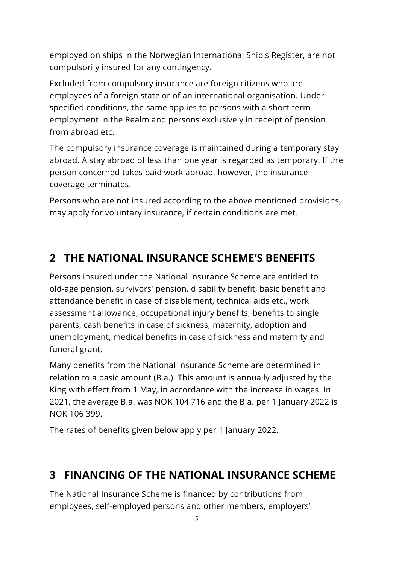employed on ships in the Norwegian International Ship's Register, are not compulsorily insured for any contingency.

Excluded from compulsory insurance are foreign citizens who are employees of a foreign state or of an international organisation. Under specified conditions, the same applies to persons with a short-term employment in the Realm and persons exclusively in receipt of pension from abroad etc.

The compulsory insurance coverage is maintained during a temporary stay abroad. A stay abroad of less than one year is regarded as temporary. If the person concerned takes paid work abroad, however, the insurance coverage terminates.

Persons who are not insured according to the above mentioned provisions, may apply for voluntary insurance, if certain conditions are met.

### <span id="page-5-0"></span>**2 THE NATIONAL INSURANCE SCHEME'S BENEFITS**

Persons insured under the National Insurance Scheme are entitled to old-age pension, survivors' pension, disability benefit, basic benefit and attendance benefit in case of disablement, technical aids etc., work assessment allowance, occupational injury benefits, benefits to single parents, cash benefits in case of sickness, maternity, adoption and unemployment, medical benefits in case of sickness and maternity and funeral grant.

Many benefits from the National Insurance Scheme are determined in relation to a basic amount (B.a.). This amount is annually adjusted by the King with effect from 1 May, in accordance with the increase in wages. In 2021, the average B.a. was NOK 104 716 and the B.a. per 1 January 2022 is NOK 106 399.

The rates of benefits given below apply per 1 January 2022.

### <span id="page-5-1"></span>**3 FINANCING OF THE NATIONAL INSURANCE SCHEME**

The National Insurance Scheme is financed by contributions from employees, self-employed persons and other members, employers'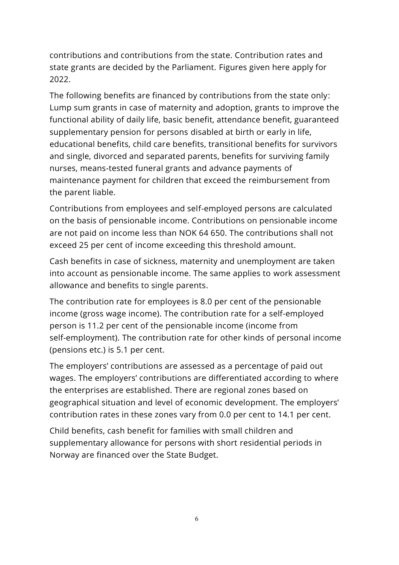contributions and contributions from the state. Contribution rates and state grants are decided by the Parliament. Figures given here apply for 2022.

The following benefits are financed by contributions from the state only: Lump sum grants in case of maternity and adoption, grants to improve the functional ability of daily life, basic benefit, attendance benefit, guaranteed supplementary pension for persons disabled at birth or early in life, educational benefits, child care benefits, transitional benefits for survivors and single, divorced and separated parents, benefits for surviving family nurses, means-tested funeral grants and advance payments of maintenance payment for children that exceed the reimbursement from the parent liable.

Contributions from employees and self-employed persons are calculated on the basis of pensionable income. Contributions on pensionable income are not paid on income less than NOK 64 650. The contributions shall not exceed 25 per cent of income exceeding this threshold amount.

Cash benefits in case of sickness, maternity and unemployment are taken into account as pensionable income. The same applies to work assessment allowance and benefits to single parents.

The contribution rate for employees is 8.0 per cent of the pensionable income (gross wage income). The contribution rate for a self-employed person is 11.2 per cent of the pensionable income (income from self-employment). The contribution rate for other kinds of personal income (pensions etc.) is 5.1 per cent.

The employers' contributions are assessed as a percentage of paid out wages. The employers' contributions are differentiated according to where the enterprises are established. There are regional zones based on geographical situation and level of economic development. The employers' contribution rates in these zones vary from 0.0 per cent to 14.1 per cent.

Child benefits, cash benefit for families with small children and supplementary allowance for persons with short residential periods in Norway are financed over the State Budget.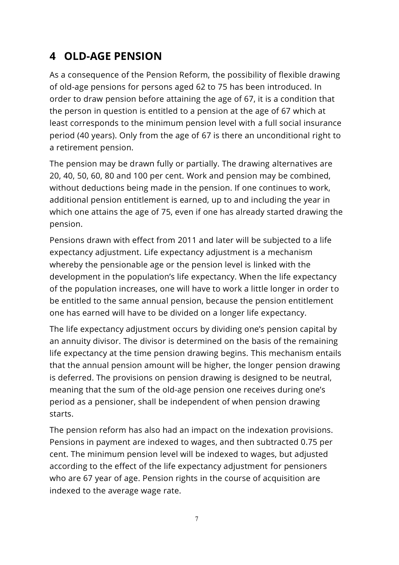### <span id="page-7-0"></span>**4 OLD-AGE PENSION**

As a consequence of the Pension Reform, the possibility of flexible drawing of old-age pensions for persons aged 62 to 75 has been introduced. In order to draw pension before attaining the age of 67, it is a condition that the person in question is entitled to a pension at the age of 67 which at least corresponds to the minimum pension level with a full social insurance period (40 years). Only from the age of 67 is there an unconditional right to a retirement pension.

The pension may be drawn fully or partially. The drawing alternatives are 20, 40, 50, 60, 80 and 100 per cent. Work and pension may be combined, without deductions being made in the pension. If one continues to work, additional pension entitlement is earned, up to and including the year in which one attains the age of 75, even if one has already started drawing the pension.

Pensions drawn with effect from 2011 and later will be subjected to a life expectancy adjustment. Life expectancy adjustment is a mechanism whereby the pensionable age or the pension level is linked with the development in the population's life expectancy. When the life expectancy of the population increases, one will have to work a little longer in order to be entitled to the same annual pension, because the pension entitlement one has earned will have to be divided on a longer life expectancy.

The life expectancy adjustment occurs by dividing one's pension capital by an annuity divisor. The divisor is determined on the basis of the remaining life expectancy at the time pension drawing begins. This mechanism entails that the annual pension amount will be higher, the longer pension drawing is deferred. The provisions on pension drawing is designed to be neutral, meaning that the sum of the old-age pension one receives during one's period as a pensioner, shall be independent of when pension drawing starts.

The pension reform has also had an impact on the indexation provisions. Pensions in payment are indexed to wages, and then subtracted 0.75 per cent. The minimum pension level will be indexed to wages, but adjusted according to the effect of the life expectancy adjustment for pensioners who are 67 year of age. Pension rights in the course of acquisition are indexed to the average wage rate.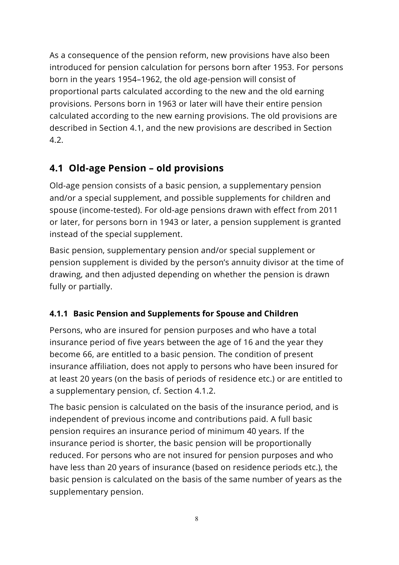As a consequence of the pension reform, new provisions have also been introduced for pension calculation for persons born after 1953. For persons born in the years 1954–1962, the old age-pension will consist of proportional parts calculated according to the new and the old earning provisions. Persons born in 1963 or later will have their entire pension calculated according to the new earning provisions. The old provisions are described in Section 4.1, and the new provisions are described in Section 4.2.

#### <span id="page-8-0"></span>**4.1 Old-age Pension – old provisions**

Old-age pension consists of a basic pension, a supplementary pension and/or a special supplement, and possible supplements for children and spouse (income-tested). For old-age pensions drawn with effect from 2011 or later, for persons born in 1943 or later, a pension supplement is granted instead of the special supplement.

Basic pension, supplementary pension and/or special supplement or pension supplement is divided by the person's annuity divisor at the time of drawing, and then adjusted depending on whether the pension is drawn fully or partially.

#### <span id="page-8-1"></span>**4.1.1 Basic Pension and Supplements for Spouse and Children**

Persons, who are insured for pension purposes and who have a total insurance period of five years between the age of 16 and the year they become 66, are entitled to a basic pension. The condition of present insurance affiliation, does not apply to persons who have been insured for at least 20 years (on the basis of periods of residence etc.) or are entitled to a supplementary pension, cf. Section 4.1.2.

The basic pension is calculated on the basis of the insurance period, and is independent of previous income and contributions paid. A full basic pension requires an insurance period of minimum 40 years. If the insurance period is shorter, the basic pension will be proportionally reduced. For persons who are not insured for pension purposes and who have less than 20 years of insurance (based on residence periods etc.), the basic pension is calculated on the basis of the same number of years as the supplementary pension.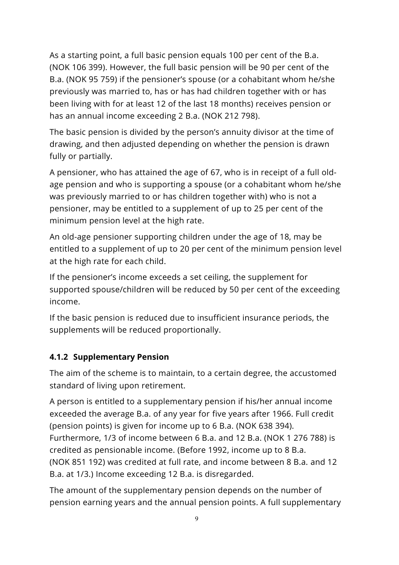As a starting point, a full basic pension equals 100 per cent of the B.a. (NOK 106 399). However, the full basic pension will be 90 per cent of the B.a. (NOK 95 759) if the pensioner's spouse (or a cohabitant whom he/she previously was married to, has or has had children together with or has been living with for at least 12 of the last 18 months) receives pension or has an annual income exceeding 2 B.a. (NOK 212 798).

The basic pension is divided by the person's annuity divisor at the time of drawing, and then adjusted depending on whether the pension is drawn fully or partially.

A pensioner, who has attained the age of 67, who is in receipt of a full oldage pension and who is supporting a spouse (or a cohabitant whom he/she was previously married to or has children together with) who is not a pensioner, may be entitled to a supplement of up to 25 per cent of the minimum pension level at the high rate.

An old-age pensioner supporting children under the age of 18, may be entitled to a supplement of up to 20 per cent of the minimum pension level at the high rate for each child.

If the pensioner's income exceeds a set ceiling, the supplement for supported spouse/children will be reduced by 50 per cent of the exceeding income.

If the basic pension is reduced due to insufficient insurance periods, the supplements will be reduced proportionally.

#### <span id="page-9-0"></span>**4.1.2 Supplementary Pension**

The aim of the scheme is to maintain, to a certain degree, the accustomed standard of living upon retirement.

A person is entitled to a supplementary pension if his/her annual income exceeded the average B.a. of any year for five years after 1966. Full credit (pension points) is given for income up to 6 B.a. (NOK 638 394). Furthermore, 1/3 of income between 6 B.a. and 12 B.a. (NOK 1 276 788) is credited as pensionable income. (Before 1992, income up to 8 B.a. (NOK 851 192) was credited at full rate, and income between 8 B.a. and 12 B.a. at 1/3.) Income exceeding 12 B.a. is disregarded.

The amount of the supplementary pension depends on the number of pension earning years and the annual pension points. A full supplementary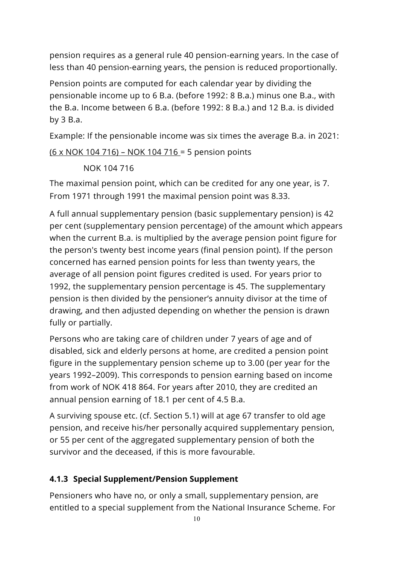pension requires as a general rule 40 pension-earning years. In the case of less than 40 pension-earning years, the pension is reduced proportionally.

Pension points are computed for each calendar year by dividing the pensionable income up to 6 B.a. (before 1992: 8 B.a.) minus one B.a., with the B.a. Income between 6 B.a. (before 1992: 8 B.a.) and 12 B.a. is divided by 3 B.a.

Example: If the pensionable income was six times the average B.a. in 2021:

(6 x NOK 104 716) – NOK 104 716 = 5 pension points

NOK 104 716

The maximal pension point, which can be credited for any one year, is 7. From 1971 through 1991 the maximal pension point was 8.33.

A full annual supplementary pension (basic supplementary pension) is 42 per cent (supplementary pension percentage) of the amount which appears when the current B.a. is multiplied by the average pension point figure for the person's twenty best income years (final pension point). If the person concerned has earned pension points for less than twenty years, the average of all pension point figures credited is used. For years prior to 1992, the supplementary pension percentage is 45. The supplementary pension is then divided by the pensioner's annuity divisor at the time of drawing, and then adjusted depending on whether the pension is drawn fully or partially.

Persons who are taking care of children under 7 years of age and of disabled, sick and elderly persons at home, are credited a pension point figure in the supplementary pension scheme up to 3.00 (per year for the years 1992–2009). This corresponds to pension earning based on income from work of NOK 418 864. For years after 2010, they are credited an annual pension earning of 18.1 per cent of 4.5 B.a.

A surviving spouse etc. (cf. Section 5.1) will at age 67 transfer to old age pension, and receive his/her personally acquired supplementary pension, or 55 per cent of the aggregated supplementary pension of both the survivor and the deceased, if this is more favourable.

#### <span id="page-10-0"></span>**4.1.3 Special Supplement/Pension Supplement**

Pensioners who have no, or only a small, supplementary pension, are entitled to a special supplement from the National Insurance Scheme. For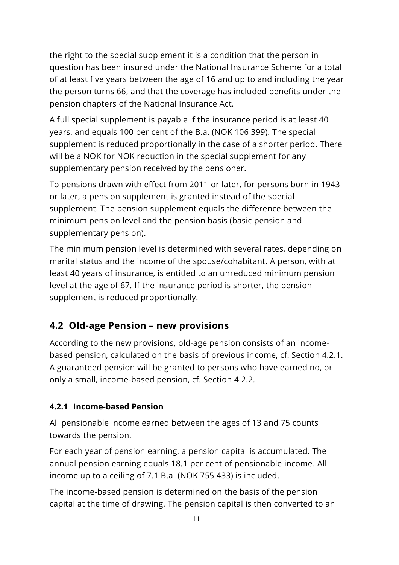the right to the special supplement it is a condition that the person in question has been insured under the National Insurance Scheme for a total of at least five years between the age of 16 and up to and including the year the person turns 66, and that the coverage has included benefits under the pension chapters of the National Insurance Act.

A full special supplement is payable if the insurance period is at least 40 years, and equals 100 per cent of the B.a. (NOK 106 399). The special supplement is reduced proportionally in the case of a shorter period. There will be a NOK for NOK reduction in the special supplement for any supplementary pension received by the pensioner.

To pensions drawn with effect from 2011 or later, for persons born in 1943 or later, a pension supplement is granted instead of the special supplement. The pension supplement equals the difference between the minimum pension level and the pension basis (basic pension and supplementary pension).

The minimum pension level is determined with several rates, depending on marital status and the income of the spouse/cohabitant. A person, with at least 40 years of insurance, is entitled to an unreduced minimum pension level at the age of 67. If the insurance period is shorter, the pension supplement is reduced proportionally.

#### <span id="page-11-0"></span>**4.2 Old-age Pension – new provisions**

According to the new provisions, old-age pension consists of an incomebased pension, calculated on the basis of previous income, cf. Section 4.2.1. A guaranteed pension will be granted to persons who have earned no, or only a small, income-based pension, cf. Section 4.2.2.

#### <span id="page-11-1"></span>**4.2.1 Income-based Pension**

All pensionable income earned between the ages of 13 and 75 counts towards the pension.

For each year of pension earning, a pension capital is accumulated. The annual pension earning equals 18.1 per cent of pensionable income. All income up to a ceiling of 7.1 B.a. (NOK 755 433) is included.

The income-based pension is determined on the basis of the pension capital at the time of drawing. The pension capital is then converted to an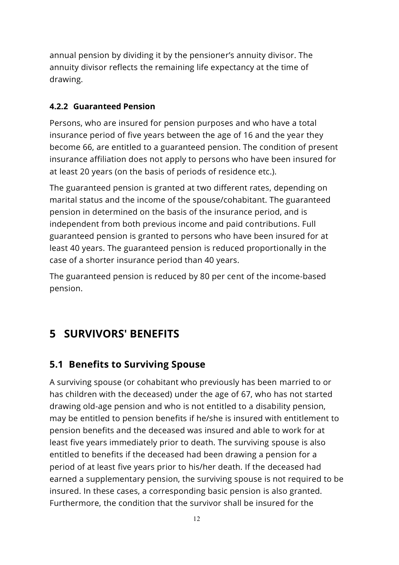annual pension by dividing it by the pensioner's annuity divisor. The annuity divisor reflects the remaining life expectancy at the time of drawing.

#### <span id="page-12-0"></span>**4.2.2 Guaranteed Pension**

Persons, who are insured for pension purposes and who have a total insurance period of five years between the age of 16 and the year they become 66, are entitled to a guaranteed pension. The condition of present insurance affiliation does not apply to persons who have been insured for at least 20 years (on the basis of periods of residence etc.).

The guaranteed pension is granted at two different rates, depending on marital status and the income of the spouse/cohabitant. The guaranteed pension in determined on the basis of the insurance period, and is independent from both previous income and paid contributions. Full guaranteed pension is granted to persons who have been insured for at least 40 years. The guaranteed pension is reduced proportionally in the case of a shorter insurance period than 40 years.

The guaranteed pension is reduced by 80 per cent of the income-based pension.

### <span id="page-12-1"></span>**5 SURVIVORS' BENEFITS**

#### <span id="page-12-2"></span>**5.1 Benefits to Surviving Spouse**

A surviving spouse (or cohabitant who previously has been married to or has children with the deceased) under the age of 67, who has not started drawing old-age pension and who is not entitled to a disability pension, may be entitled to pension benefits if he/she is insured with entitlement to pension benefits and the deceased was insured and able to work for at least five years immediately prior to death. The surviving spouse is also entitled to benefits if the deceased had been drawing a pension for a period of at least five years prior to his/her death. If the deceased had earned a supplementary pension, the surviving spouse is not required to be insured. In these cases, a corresponding basic pension is also granted. Furthermore, the condition that the survivor shall be insured for the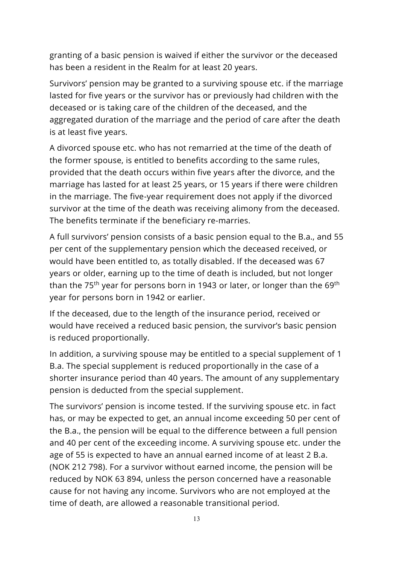granting of a basic pension is waived if either the survivor or the deceased has been a resident in the Realm for at least 20 years.

Survivors' pension may be granted to a surviving spouse etc. if the marriage lasted for five years or the survivor has or previously had children with the deceased or is taking care of the children of the deceased, and the aggregated duration of the marriage and the period of care after the death is at least five years.

A divorced spouse etc. who has not remarried at the time of the death of the former spouse, is entitled to benefits according to the same rules, provided that the death occurs within five years after the divorce, and the marriage has lasted for at least 25 years, or 15 years if there were children in the marriage. The five-year requirement does not apply if the divorced survivor at the time of the death was receiving alimony from the deceased. The benefits terminate if the beneficiary re-marries.

A full survivors' pension consists of a basic pension equal to the B.a., and 55 per cent of the supplementary pension which the deceased received, or would have been entitled to, as totally disabled. If the deceased was 67 years or older, earning up to the time of death is included, but not longer than the 75<sup>th</sup> year for persons born in 1943 or later, or longer than the 69<sup>th</sup> year for persons born in 1942 or earlier.

If the deceased, due to the length of the insurance period, received or would have received a reduced basic pension, the survivor's basic pension is reduced proportionally.

In addition, a surviving spouse may be entitled to a special supplement of 1 B.a. The special supplement is reduced proportionally in the case of a shorter insurance period than 40 years. The amount of any supplementary pension is deducted from the special supplement.

The survivors' pension is income tested. If the surviving spouse etc. in fact has, or may be expected to get, an annual income exceeding 50 per cent of the B.a., the pension will be equal to the difference between a full pension and 40 per cent of the exceeding income. A surviving spouse etc. under the age of 55 is expected to have an annual earned income of at least 2 B.a. (NOK 212 798). For a survivor without earned income, the pension will be reduced by NOK 63 894, unless the person concerned have a reasonable cause for not having any income. Survivors who are not employed at the time of death, are allowed a reasonable transitional period.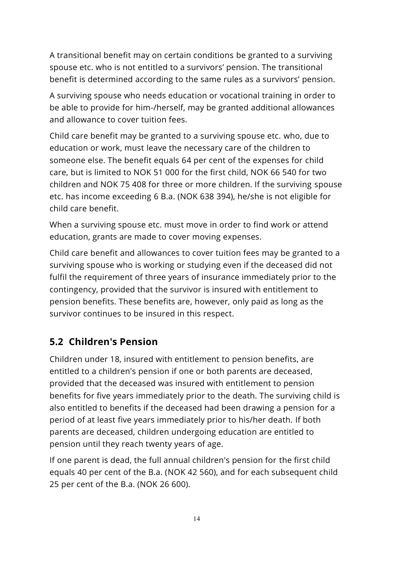A transitional benefit may on certain conditions be granted to a surviving spouse etc. who is not entitled to a survivors' pension. The transitional benefit is determined according to the same rules as a survivors' pension.

A surviving spouse who needs education or vocational training in order to be able to provide for him-/herself, may be granted additional allowances and allowance to cover tuition fees.

Child care benefit may be granted to a surviving spouse etc. who, due to education or work, must leave the necessary care of the children to someone else. The benefit equals 64 per cent of the expenses for child care, but is limited to NOK 51 000 for the first child, NOK 66 540 for two children and NOK 75 408 for three or more children. If the surviving spouse etc. has income exceeding 6 B.a. (NOK 638 394), he/she is not eligible for child care benefit.

When a surviving spouse etc. must move in order to find work or attend education, grants are made to cover moving expenses.

Child care benefit and allowances to cover tuition fees may be granted to a surviving spouse who is working or studying even if the deceased did not fulfil the requirement of three years of insurance immediately prior to the contingency, provided that the survivor is insured with entitlement to pension benefits. These benefits are, however, only paid as long as the survivor continues to be insured in this respect.

#### <span id="page-14-0"></span>**5.2 Children's Pension**

Children under 18, insured with entitlement to pension benefits, are entitled to a children's pension if one or both parents are deceased, provided that the deceased was insured with entitlement to pension benefits for five years immediately prior to the death. The surviving child is also entitled to benefits if the deceased had been drawing a pension for a period of at least five years immediately prior to his/her death. If both parents are deceased, children undergoing education are entitled to pension until they reach twenty years of age.

If one parent is dead, the full annual children's pension for the first child equals 40 per cent of the B.a. (NOK 42 560), and for each subsequent child 25 per cent of the B.a. (NOK 26 600).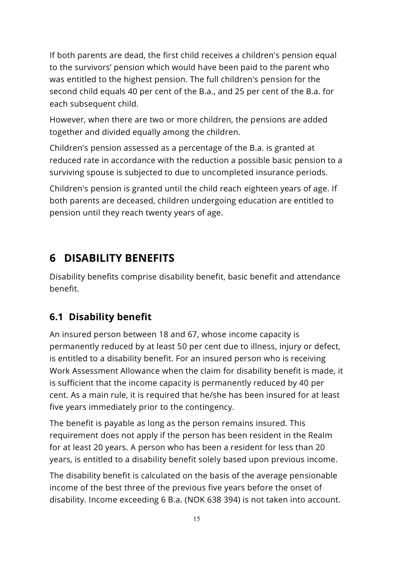If both parents are dead, the first child receives a children's pension equal to the survivors' pension which would have been paid to the parent who was entitled to the highest pension. The full children's pension for the second child equals 40 per cent of the B.a., and 25 per cent of the B.a. for each subsequent child.

However, when there are two or more children, the pensions are added together and divided equally among the children.

Children's pension assessed as a percentage of the B.a. is granted at reduced rate in accordance with the reduction a possible basic pension to a surviving spouse is subjected to due to uncompleted insurance periods.

Children's pension is granted until the child reach eighteen years of age. If both parents are deceased, children undergoing education are entitled to pension until they reach twenty years of age.

### <span id="page-15-0"></span>**6 DISABILITY BENEFITS**

Disability benefits comprise disability benefit, basic benefit and attendance benefit.

### <span id="page-15-1"></span>**6.1 Disability benefit**

An insured person between 18 and 67, whose income capacity is permanently reduced by at least 50 per cent due to illness, injury or defect, is entitled to a disability benefit. For an insured person who is receiving Work Assessment Allowance when the claim for disability benefit is made, it is sufficient that the income capacity is permanently reduced by 40 per cent. As a main rule, it is required that he/she has been insured for at least five years immediately prior to the contingency.

The benefit is payable as long as the person remains insured. This requirement does not apply if the person has been resident in the Realm for at least 20 years. A person who has been a resident for less than 20 years, is entitled to a disability benefit solely based upon previous income.

The disability benefit is calculated on the basis of the average pensionable income of the best three of the previous five years before the onset of disability. Income exceeding 6 B.a. (NOK 638 394) is not taken into account.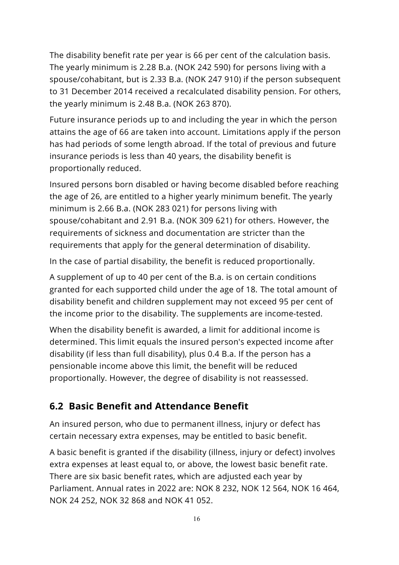The disability benefit rate per year is 66 per cent of the calculation basis. The yearly minimum is 2.28 B.a. (NOK 242 590) for persons living with a spouse/cohabitant, but is 2.33 B.a. (NOK 247 910) if the person subsequent to 31 December 2014 received a recalculated disability pension. For others, the yearly minimum is 2.48 B.a. (NOK 263 870).

Future insurance periods up to and including the year in which the person attains the age of 66 are taken into account. Limitations apply if the person has had periods of some length abroad. If the total of previous and future insurance periods is less than 40 years, the disability benefit is proportionally reduced.

Insured persons born disabled or having become disabled before reaching the age of 26, are entitled to a higher yearly minimum benefit. The yearly minimum is 2.66 B.a. (NOK 283 021) for persons living with spouse/cohabitant and 2.91 B.a. (NOK 309 621) for others. However, the requirements of sickness and documentation are stricter than the requirements that apply for the general determination of disability.

In the case of partial disability, the benefit is reduced proportionally.

A supplement of up to 40 per cent of the B.a. is on certain conditions granted for each supported child under the age of 18. The total amount of disability benefit and children supplement may not exceed 95 per cent of the income prior to the disability. The supplements are income-tested.

When the disability benefit is awarded, a limit for additional income is determined. This limit equals the insured person's expected income after disability (if less than full disability), plus 0.4 B.a. If the person has a pensionable income above this limit, the benefit will be reduced proportionally. However, the degree of disability is not reassessed.

#### <span id="page-16-0"></span>**6.2 Basic Benefit and Attendance Benefit**

An insured person, who due to permanent illness, injury or defect has certain necessary extra expenses, may be entitled to basic benefit.

A basic benefit is granted if the disability (illness, injury or defect) involves extra expenses at least equal to, or above, the lowest basic benefit rate. There are six basic benefit rates, which are adjusted each year by Parliament. Annual rates in 2022 are: NOK 8 232, NOK 12 564, NOK 16 464, NOK 24 252, NOK 32 868 and NOK 41 052.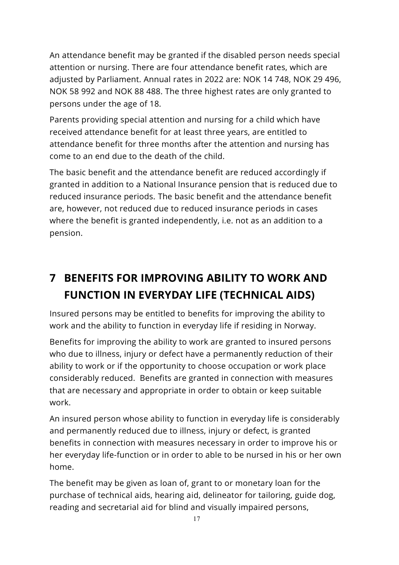An attendance benefit may be granted if the disabled person needs special attention or nursing. There are four attendance benefit rates, which are adjusted by Parliament. Annual rates in 2022 are: NOK 14 748, NOK 29 496, NOK 58 992 and NOK 88 488. The three highest rates are only granted to persons under the age of 18.

Parents providing special attention and nursing for a child which have received attendance benefit for at least three years, are entitled to attendance benefit for three months after the attention and nursing has come to an end due to the death of the child.

The basic benefit and the attendance benefit are reduced accordingly if granted in addition to a National Insurance pension that is reduced due to reduced insurance periods. The basic benefit and the attendance benefit are, however, not reduced due to reduced insurance periods in cases where the benefit is granted independently, i.e. not as an addition to a pension.

### <span id="page-17-0"></span>**7 BENEFITS FOR IMPROVING ABILITY TO WORK AND FUNCTION IN EVERYDAY LIFE (TECHNICAL AIDS)**

Insured persons may be entitled to benefits for improving the ability to work and the ability to function in everyday life if residing in Norway.

Benefits for improving the ability to work are granted to insured persons who due to illness, injury or defect have a permanently reduction of their ability to work or if the opportunity to choose occupation or work place considerably reduced. Benefits are granted in connection with measures that are necessary and appropriate in order to obtain or keep suitable work.

An insured person whose ability to function in everyday life is considerably and permanently reduced due to illness, injury or defect, is granted benefits in connection with measures necessary in order to improve his or her everyday life-function or in order to able to be nursed in his or her own home.

The benefit may be given as loan of, grant to or monetary loan for the purchase of technical aids, hearing aid, delineator for tailoring, guide dog, reading and secretarial aid for blind and visually impaired persons,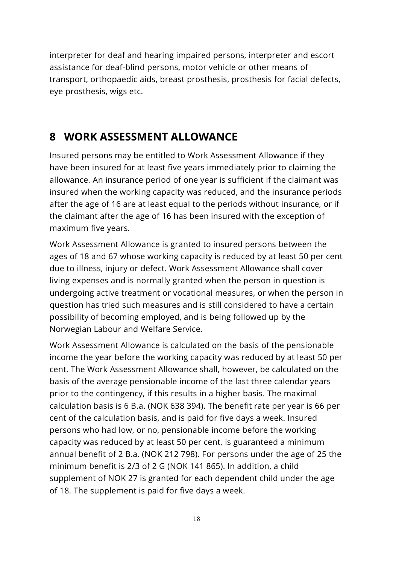interpreter for deaf and hearing impaired persons, interpreter and escort assistance for deaf-blind persons, motor vehicle or other means of transport, orthopaedic aids, breast prosthesis, prosthesis for facial defects, eye prosthesis, wigs etc.

### <span id="page-18-0"></span>**8 WORK ASSESSMENT ALLOWANCE**

Insured persons may be entitled to Work Assessment Allowance if they have been insured for at least five years immediately prior to claiming the allowance. An insurance period of one year is sufficient if the claimant was insured when the working capacity was reduced, and the insurance periods after the age of 16 are at least equal to the periods without insurance, or if the claimant after the age of 16 has been insured with the exception of maximum five years.

Work Assessment Allowance is granted to insured persons between the ages of 18 and 67 whose working capacity is reduced by at least 50 per cent due to illness, injury or defect. Work Assessment Allowance shall cover living expenses and is normally granted when the person in question is undergoing active treatment or vocational measures, or when the person in question has tried such measures and is still considered to have a certain possibility of becoming employed, and is being followed up by the Norwegian Labour and Welfare Service.

Work Assessment Allowance is calculated on the basis of the pensionable income the year before the working capacity was reduced by at least 50 per cent. The Work Assessment Allowance shall, however, be calculated on the basis of the average pensionable income of the last three calendar years prior to the contingency, if this results in a higher basis. The maximal calculation basis is 6 B.a. (NOK 638 394). The benefit rate per year is 66 per cent of the calculation basis, and is paid for five days a week. Insured persons who had low, or no, pensionable income before the working capacity was reduced by at least 50 per cent, is guaranteed a minimum annual benefit of 2 B.a. (NOK 212 798). For persons under the age of 25 the minimum benefit is 2/3 of 2 G (NOK 141 865). In addition, a child supplement of NOK 27 is granted for each dependent child under the age of 18. The supplement is paid for five days a week.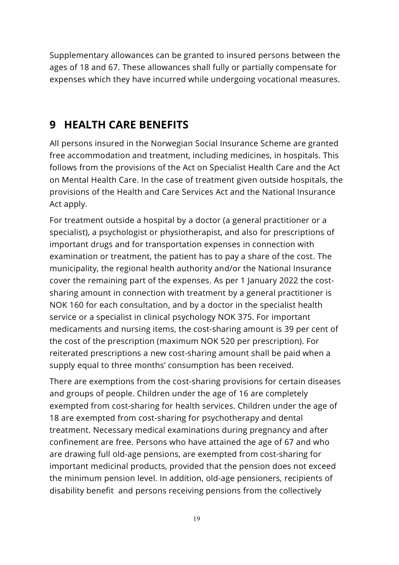Supplementary allowances can be granted to insured persons between the ages of 18 and 67. These allowances shall fully or partially compensate for expenses which they have incurred while undergoing vocational measures.

### <span id="page-19-0"></span>**9 HEALTH CARE BENEFITS**

All persons insured in the Norwegian Social Insurance Scheme are granted free accommodation and treatment, including medicines, in hospitals. This follows from the provisions of the Act on Specialist Health Care and the Act on Mental Health Care. In the case of treatment given outside hospitals, the provisions of the Health and Care Services Act and the National Insurance Act apply.

For treatment outside a hospital by a doctor (a general practitioner or a specialist), a psychologist or physiotherapist, and also for prescriptions of important drugs and for transportation expenses in connection with examination or treatment, the patient has to pay a share of the cost. The municipality, the regional health authority and/or the National Insurance cover the remaining part of the expenses. As per 1 January 2022 the costsharing amount in connection with treatment by a general practitioner is NOK 160 for each consultation, and by a doctor in the specialist health service or a specialist in clinical psychology NOK 375. For important medicaments and nursing items, the cost-sharing amount is 39 per cent of the cost of the prescription (maximum NOK 520 per prescription). For reiterated prescriptions a new cost-sharing amount shall be paid when a supply equal to three months' consumption has been received.

There are exemptions from the cost-sharing provisions for certain diseases and groups of people. Children under the age of 16 are completely exempted from cost-sharing for health services. Children under the age of 18 are exempted from cost-sharing for psychotherapy and dental treatment. Necessary medical examinations during pregnancy and after confinement are free. Persons who have attained the age of 67 and who are drawing full old-age pensions, are exempted from cost-sharing for important medicinal products, provided that the pension does not exceed the minimum pension level. In addition, old-age pensioners, recipients of disability benefit and persons receiving pensions from the collectively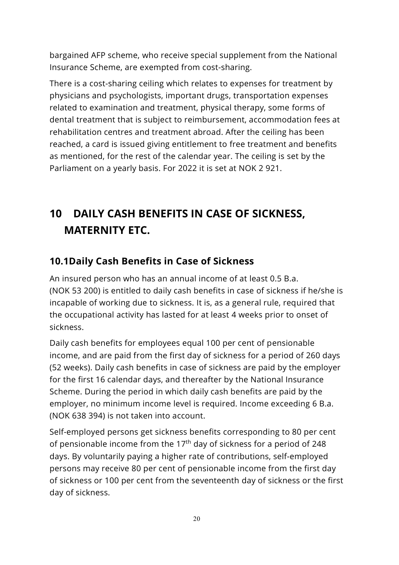bargained AFP scheme, who receive special supplement from the National Insurance Scheme, are exempted from cost-sharing.

There is a cost-sharing ceiling which relates to expenses for treatment by physicians and psychologists, important drugs, transportation expenses related to examination and treatment, physical therapy, some forms of dental treatment that is subject to reimbursement, accommodation fees at rehabilitation centres and treatment abroad. After the ceiling has been reached, a card is issued giving entitlement to free treatment and benefits as mentioned, for the rest of the calendar year. The ceiling is set by the Parliament on a yearly basis. For 2022 it is set at NOK 2 921.

## <span id="page-20-0"></span>**10 DAILY CASH BENEFITS IN CASE OF SICKNESS, MATERNITY ETC.**

#### <span id="page-20-1"></span>**10.1Daily Cash Benefits in Case of Sickness**

An insured person who has an annual income of at least 0.5 B.a. (NOK 53 200) is entitled to daily cash benefits in case of sickness if he/she is incapable of working due to sickness. It is, as a general rule, required that the occupational activity has lasted for at least 4 weeks prior to onset of sickness.

Daily cash benefits for employees equal 100 per cent of pensionable income, and are paid from the first day of sickness for a period of 260 days (52 weeks). Daily cash benefits in case of sickness are paid by the employer for the first 16 calendar days, and thereafter by the National Insurance Scheme. During the period in which daily cash benefits are paid by the employer, no minimum income level is required. Income exceeding 6 B.a. (NOK 638 394) is not taken into account.

Self-employed persons get sickness benefits corresponding to 80 per cent of pensionable income from the  $17<sup>th</sup>$  day of sickness for a period of 248 days. By voluntarily paying a higher rate of contributions, self-employed persons may receive 80 per cent of pensionable income from the first day of sickness or 100 per cent from the seventeenth day of sickness or the first day of sickness.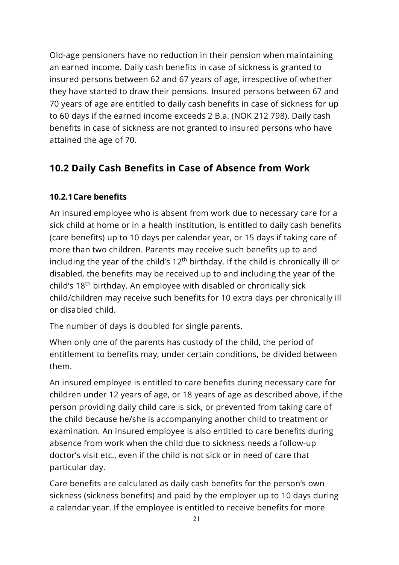Old-age pensioners have no reduction in their pension when maintaining an earned income. Daily cash benefits in case of sickness is granted to insured persons between 62 and 67 years of age, irrespective of whether they have started to draw their pensions. Insured persons between 67 and 70 years of age are entitled to daily cash benefits in case of sickness for up to 60 days if the earned income exceeds 2 B.a. (NOK 212 798). Daily cash benefits in case of sickness are not granted to insured persons who have attained the age of 70.

#### <span id="page-21-0"></span>**10.2 Daily Cash Benefits in Case of Absence from Work**

#### <span id="page-21-1"></span>**10.2.1Care benefits**

An insured employee who is absent from work due to necessary care for a sick child at home or in a health institution, is entitled to daily cash benefits (care benefits) up to 10 days per calendar year, or 15 days if taking care of more than two children. Parents may receive such benefits up to and including the year of the child's  $12<sup>th</sup>$  birthday. If the child is chronically ill or disabled, the benefits may be received up to and including the year of the child's 18th birthday. An employee with disabled or chronically sick child/children may receive such benefits for 10 extra days per chronically ill or disabled child.

The number of days is doubled for single parents.

When only one of the parents has custody of the child, the period of entitlement to benefits may, under certain conditions, be divided between them.

An insured employee is entitled to care benefits during necessary care for children under 12 years of age, or 18 years of age as described above, if the person providing daily child care is sick, or prevented from taking care of the child because he/she is accompanying another child to treatment or examination. An insured employee is also entitled to care benefits during absence from work when the child due to sickness needs a follow-up doctor's visit etc., even if the child is not sick or in need of care that particular day.

Care benefits are calculated as daily cash benefits for the person's own sickness (sickness benefits) and paid by the employer up to 10 days during a calendar year. If the employee is entitled to receive benefits for more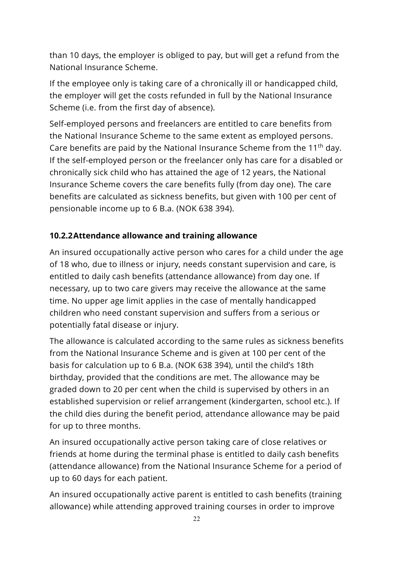than 10 days, the employer is obliged to pay, but will get a refund from the National Insurance Scheme.

If the employee only is taking care of a chronically ill or handicapped child, the employer will get the costs refunded in full by the National Insurance Scheme (i.e. from the first day of absence).

Self-employed persons and freelancers are entitled to care benefits from the National Insurance Scheme to the same extent as employed persons. Care benefits are paid by the National Insurance Scheme from the 11<sup>th</sup> day. If the self-employed person or the freelancer only has care for a disabled or chronically sick child who has attained the age of 12 years, the National Insurance Scheme covers the care benefits fully (from day one). The care benefits are calculated as sickness benefits, but given with 100 per cent of pensionable income up to 6 B.a. (NOK 638 394).

#### <span id="page-22-0"></span>**10.2.2Attendance allowance and training allowance**

An insured occupationally active person who cares for a child under the age of 18 who, due to illness or injury, needs constant supervision and care, is entitled to daily cash benefits (attendance allowance) from day one. If necessary, up to two care givers may receive the allowance at the same time. No upper age limit applies in the case of mentally handicapped children who need constant supervision and suffers from a serious or potentially fatal disease or injury.

The allowance is calculated according to the same rules as sickness benefits from the National Insurance Scheme and is given at 100 per cent of the basis for calculation up to 6 B.a. (NOK 638 394), until the child's 18th birthday, provided that the conditions are met. The allowance may be graded down to 20 per cent when the child is supervised by others in an established supervision or relief arrangement (kindergarten, school etc.). If the child dies during the benefit period, attendance allowance may be paid for up to three months.

An insured occupationally active person taking care of close relatives or friends at home during the terminal phase is entitled to daily cash benefits (attendance allowance) from the National Insurance Scheme for a period of up to 60 days for each patient.

An insured occupationally active parent is entitled to cash benefits (training allowance) while attending approved training courses in order to improve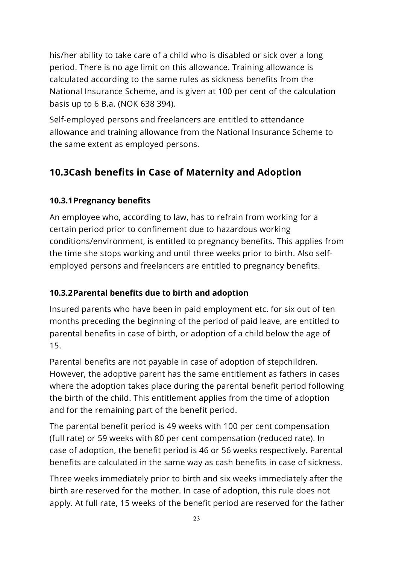his/her ability to take care of a child who is disabled or sick over a long period. There is no age limit on this allowance. Training allowance is calculated according to the same rules as sickness benefits from the National Insurance Scheme, and is given at 100 per cent of the calculation basis up to 6 B.a. (NOK 638 394).

Self-employed persons and freelancers are entitled to attendance allowance and training allowance from the National Insurance Scheme to the same extent as employed persons.

#### <span id="page-23-0"></span>**10.3Cash benefits in Case of Maternity and Adoption**

#### <span id="page-23-1"></span>**10.3.1Pregnancy benefits**

An employee who, according to law, has to refrain from working for a certain period prior to confinement due to hazardous working conditions/environment, is entitled to pregnancy benefits. This applies from the time she stops working and until three weeks prior to birth. Also selfemployed persons and freelancers are entitled to pregnancy benefits.

#### <span id="page-23-2"></span>**10.3.2Parental benefits due to birth and adoption**

Insured parents who have been in paid employment etc. for six out of ten months preceding the beginning of the period of paid leave, are entitled to parental benefits in case of birth, or adoption of a child below the age of 15.

Parental benefits are not payable in case of adoption of stepchildren. However, the adoptive parent has the same entitlement as fathers in cases where the adoption takes place during the parental benefit period following the birth of the child. This entitlement applies from the time of adoption and for the remaining part of the benefit period.

The parental benefit period is 49 weeks with 100 per cent compensation (full rate) or 59 weeks with 80 per cent compensation (reduced rate). In case of adoption, the benefit period is 46 or 56 weeks respectively. Parental benefits are calculated in the same way as cash benefits in case of sickness.

Three weeks immediately prior to birth and six weeks immediately after the birth are reserved for the mother. In case of adoption, this rule does not apply. At full rate, 15 weeks of the benefit period are reserved for the father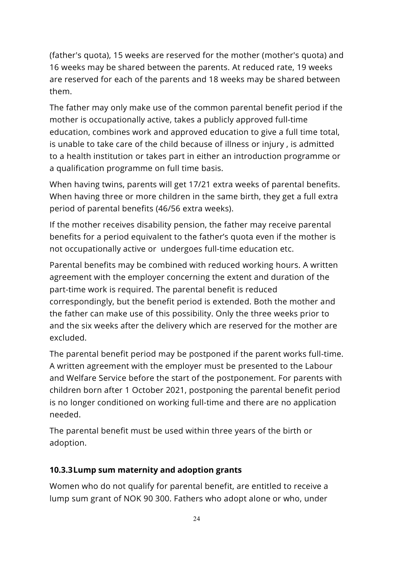(father's quota), 15 weeks are reserved for the mother (mother's quota) and 16 weeks may be shared between the parents. At reduced rate, 19 weeks are reserved for each of the parents and 18 weeks may be shared between them.

The father may only make use of the common parental benefit period if the mother is occupationally active, takes a publicly approved full-time education, combines work and approved education to give a full time total, is unable to take care of the child because of illness or injury , is admitted to a health institution or takes part in either an introduction programme or a qualification programme on full time basis.

When having twins, parents will get 17/21 extra weeks of parental benefits. When having three or more children in the same birth, they get a full extra period of parental benefits (46/56 extra weeks).

If the mother receives disability pension, the father may receive parental benefits for a period equivalent to the father's quota even if the mother is not occupationally active or undergoes full-time education etc.

Parental benefits may be combined with reduced working hours. A written agreement with the employer concerning the extent and duration of the part-time work is required. The parental benefit is reduced correspondingly, but the benefit period is extended. Both the mother and the father can make use of this possibility. Only the three weeks prior to and the six weeks after the delivery which are reserved for the mother are excluded.

The parental benefit period may be postponed if the parent works full-time. A written agreement with the employer must be presented to the Labour and Welfare Service before the start of the postponement. For parents with children born after 1 October 2021, postponing the parental benefit period is no longer conditioned on working full-time and there are no application needed.

The parental benefit must be used within three years of the birth or adoption.

#### <span id="page-24-0"></span>**10.3.3Lump sum maternity and adoption grants**

Women who do not qualify for parental benefit, are entitled to receive a lump sum grant of NOK 90 300. Fathers who adopt alone or who, under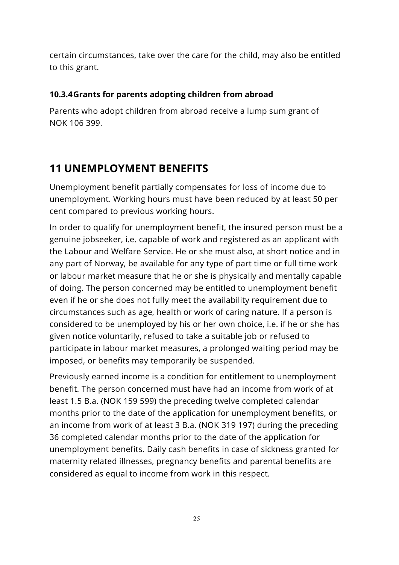certain circumstances, take over the care for the child, may also be entitled to this grant.

#### <span id="page-25-0"></span>**10.3.4Grants for parents adopting children from abroad**

Parents who adopt children from abroad receive a lump sum grant of NOK 106 399.

### <span id="page-25-1"></span>**11 UNEMPLOYMENT BENEFITS**

Unemployment benefit partially compensates for loss of income due to unemployment. Working hours must have been reduced by at least 50 per cent compared to previous working hours.

In order to qualify for unemployment benefit, the insured person must be a genuine jobseeker, i.e. capable of work and registered as an applicant with the Labour and Welfare Service. He or she must also, at short notice and in any part of Norway, be available for any type of part time or full time work or labour market measure that he or she is physically and mentally capable of doing. The person concerned may be entitled to unemployment benefit even if he or she does not fully meet the availability requirement due to circumstances such as age, health or work of caring nature. If a person is considered to be unemployed by his or her own choice, i.e. if he or she has given notice voluntarily, refused to take a suitable job or refused to participate in labour market measures, a prolonged waiting period may be imposed, or benefits may temporarily be suspended.

Previously earned income is a condition for entitlement to unemployment benefit. The person concerned must have had an income from work of at least 1.5 B.a. (NOK 159 599) the preceding twelve completed calendar months prior to the date of the application for unemployment benefits, or an income from work of at least 3 B.a. (NOK 319 197) during the preceding 36 completed calendar months prior to the date of the application for unemployment benefits. Daily cash benefits in case of sickness granted for maternity related illnesses, pregnancy benefits and parental benefits are considered as equal to income from work in this respect.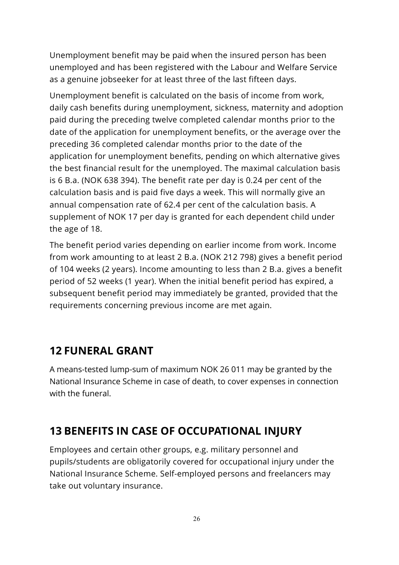Unemployment benefit may be paid when the insured person has been unemployed and has been registered with the Labour and Welfare Service as a genuine jobseeker for at least three of the last fifteen days.

Unemployment benefit is calculated on the basis of income from work, daily cash benefits during unemployment, sickness, maternity and adoption paid during the preceding twelve completed calendar months prior to the date of the application for unemployment benefits, or the average over the preceding 36 completed calendar months prior to the date of the application for unemployment benefits, pending on which alternative gives the best financial result for the unemployed. The maximal calculation basis is 6 B.a. (NOK 638 394). The benefit rate per day is 0.24 per cent of the calculation basis and is paid five days a week. This will normally give an annual compensation rate of 62.4 per cent of the calculation basis. A supplement of NOK 17 per day is granted for each dependent child under the age of 18.

The benefit period varies depending on earlier income from work. Income from work amounting to at least 2 B.a. (NOK 212 798) gives a benefit period of 104 weeks (2 years). Income amounting to less than 2 B.a. gives a benefit period of 52 weeks (1 year). When the initial benefit period has expired, a subsequent benefit period may immediately be granted, provided that the requirements concerning previous income are met again.

### <span id="page-26-0"></span>**12 FUNERAL GRANT**

A means-tested lump-sum of maximum NOK 26 011 may be granted by the National Insurance Scheme in case of death, to cover expenses in connection with the funeral.

### <span id="page-26-1"></span>**13 BENEFITS IN CASE OF OCCUPATIONAL INJURY**

Employees and certain other groups, e.g. military personnel and pupils/students are obligatorily covered for occupational injury under the National Insurance Scheme. Self-employed persons and freelancers may take out voluntary insurance.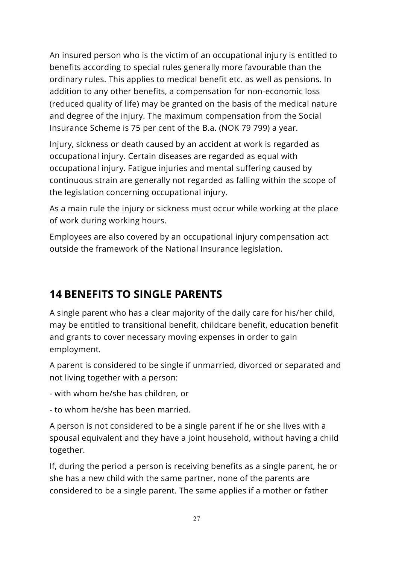An insured person who is the victim of an occupational injury is entitled to benefits according to special rules generally more favourable than the ordinary rules. This applies to medical benefit etc. as well as pensions. In addition to any other benefits, a compensation for non-economic loss (reduced quality of life) may be granted on the basis of the medical nature and degree of the injury. The maximum compensation from the Social Insurance Scheme is 75 per cent of the B.a. (NOK 79 799) a year.

Injury, sickness or death caused by an accident at work is regarded as occupational injury. Certain diseases are regarded as equal with occupational injury. Fatigue injuries and mental suffering caused by continuous strain are generally not regarded as falling within the scope of the legislation concerning occupational injury.

As a main rule the injury or sickness must occur while working at the place of work during working hours.

Employees are also covered by an occupational injury compensation act outside the framework of the National Insurance legislation.

### <span id="page-27-0"></span>**14 BENEFITS TO SINGLE PARENTS**

A single parent who has a clear majority of the daily care for his/her child, may be entitled to transitional benefit, childcare benefit, education benefit and grants to cover necessary moving expenses in order to gain employment.

A parent is considered to be single if unmarried, divorced or separated and not living together with a person:

- with whom he/she has children, or

- to whom he/she has been married.

A person is not considered to be a single parent if he or she lives with a spousal equivalent and they have a joint household, without having a child together.

If, during the period a person is receiving benefits as a single parent, he or she has a new child with the same partner, none of the parents are considered to be a single parent. The same applies if a mother or father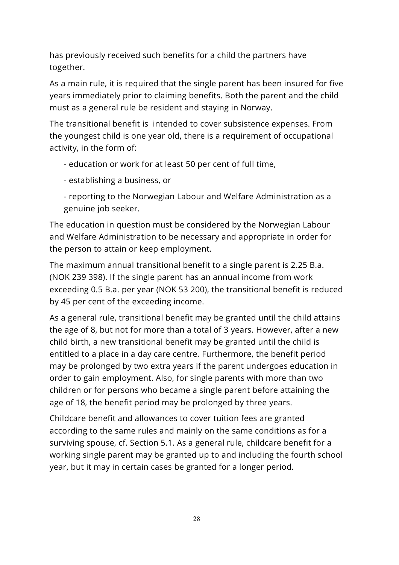has previously received such benefits for a child the partners have together.

As a main rule, it is required that the single parent has been insured for five years immediately prior to claiming benefits. Both the parent and the child must as a general rule be resident and staying in Norway.

The transitional benefit is intended to cover subsistence expenses. From the youngest child is one year old, there is a requirement of occupational activity, in the form of:

- education or work for at least 50 per cent of full time,
- establishing a business, or
- reporting to the Norwegian Labour and Welfare Administration as a genuine job seeker.

The education in question must be considered by the Norwegian Labour and Welfare Administration to be necessary and appropriate in order for the person to attain or keep employment.

The maximum annual transitional benefit to a single parent is 2.25 B.a. (NOK 239 398). If the single parent has an annual income from work exceeding 0.5 B.a. per year (NOK 53 200), the transitional benefit is reduced by 45 per cent of the exceeding income.

As a general rule, transitional benefit may be granted until the child attains the age of 8, but not for more than a total of 3 years. However, after a new child birth, a new transitional benefit may be granted until the child is entitled to a place in a day care centre. Furthermore, the benefit period may be prolonged by two extra years if the parent undergoes education in order to gain employment. Also, for single parents with more than two children or for persons who became a single parent before attaining the age of 18, the benefit period may be prolonged by three years.

Childcare benefit and allowances to cover tuition fees are granted according to the same rules and mainly on the same conditions as for a surviving spouse, cf. Section 5.1. As a general rule, childcare benefit for a working single parent may be granted up to and including the fourth school year, but it may in certain cases be granted for a longer period.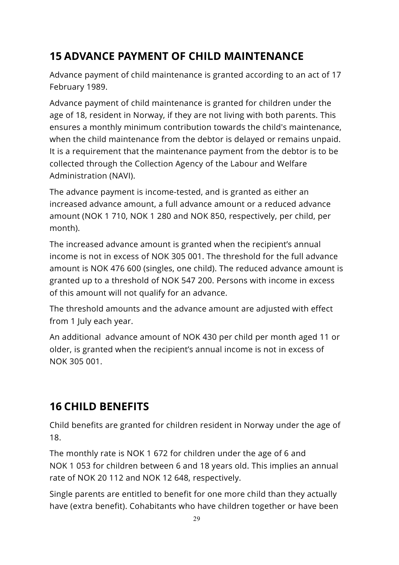### <span id="page-29-0"></span>**15 ADVANCE PAYMENT OF CHILD MAINTENANCE**

Advance payment of child maintenance is granted according to an act of 17 February 1989.

Advance payment of child maintenance is granted for children under the age of 18, resident in Norway, if they are not living with both parents. This ensures a monthly minimum contribution towards the child's maintenance, when the child maintenance from the debtor is delayed or remains unpaid. It is a requirement that the maintenance payment from the debtor is to be collected through the Collection Agency of the Labour and Welfare Administration (NAVI).

The advance payment is income-tested, and is granted as either an increased advance amount, a full advance amount or a reduced advance amount (NOK 1 710, NOK 1 280 and NOK 850, respectively, per child, per month).

The increased advance amount is granted when the recipient's annual income is not in excess of NOK 305 001. The threshold for the full advance amount is NOK 476 600 (singles, one child). The reduced advance amount is granted up to a threshold of NOK 547 200. Persons with income in excess of this amount will not qualify for an advance.

The threshold amounts and the advance amount are adjusted with effect from 1 July each year.

An additional advance amount of NOK 430 per child per month aged 11 or older, is granted when the recipient's annual income is not in excess of NOK 305 001.

### <span id="page-29-1"></span>**16 CHILD BENEFITS**

Child benefits are granted for children resident in Norway under the age of 18.

The monthly rate is NOK 1 672 for children under the age of 6 and NOK 1 053 for children between 6 and 18 years old. This implies an annual rate of NOK 20 112 and NOK 12 648, respectively.

Single parents are entitled to benefit for one more child than they actually have (extra benefit). Cohabitants who have children together or have been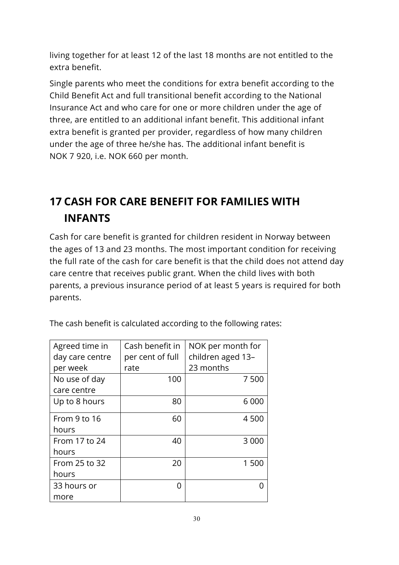living together for at least 12 of the last 18 months are not entitled to the extra benefit.

Single parents who meet the conditions for extra benefit according to the Child Benefit Act and full transitional benefit according to the National Insurance Act and who care for one or more children under the age of three, are entitled to an additional infant benefit. This additional infant extra benefit is granted per provider, regardless of how many children under the age of three he/she has. The additional infant benefit is NOK 7 920, i.e. NOK 660 per month.

### <span id="page-30-0"></span>**17 CASH FOR CARE BENEFIT FOR FAMILIES WITH INFANTS**

Cash for care benefit is granted for children resident in Norway between the ages of 13 and 23 months. The most important condition for receiving the full rate of the cash for care benefit is that the child does not attend day care centre that receives public grant. When the child lives with both parents, a previous insurance period of at least 5 years is required for both parents.

| Agreed time in  | Cash benefit in  | NOK per month for |  |
|-----------------|------------------|-------------------|--|
| day care centre | per cent of full | children aged 13- |  |
| per week        | rate             | 23 months         |  |
| No use of day   | 100              | 7500              |  |
| care centre     |                  |                   |  |
| Up to 8 hours   | 80               | 6 0 0 0           |  |
| From 9 to 16    | 60               | 4 500             |  |
| hours           |                  |                   |  |
| From 17 to 24   | 40               | 3 0 0 0           |  |
| hours           |                  |                   |  |
| From 25 to 32   | 20               | 1 500             |  |
| hours           |                  |                   |  |
| 33 hours or     | O                |                   |  |
| more            |                  |                   |  |

The cash benefit is calculated according to the following rates: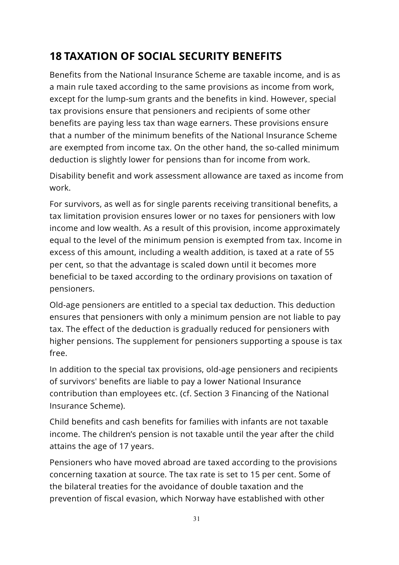### <span id="page-31-0"></span>**18 TAXATION OF SOCIAL SECURITY BENEFITS**

Benefits from the National Insurance Scheme are taxable income, and is as a main rule taxed according to the same provisions as income from work, except for the lump-sum grants and the benefits in kind. However, special tax provisions ensure that pensioners and recipients of some other benefits are paying less tax than wage earners. These provisions ensure that a number of the minimum benefits of the National Insurance Scheme are exempted from income tax. On the other hand, the so-called minimum deduction is slightly lower for pensions than for income from work.

Disability benefit and work assessment allowance are taxed as income from work.

For survivors, as well as for single parents receiving transitional benefits, a tax limitation provision ensures lower or no taxes for pensioners with low income and low wealth. As a result of this provision, income approximately equal to the level of the minimum pension is exempted from tax. Income in excess of this amount, including a wealth addition, is taxed at a rate of 55 per cent, so that the advantage is scaled down until it becomes more beneficial to be taxed according to the ordinary provisions on taxation of pensioners.

Old-age pensioners are entitled to a special tax deduction. This deduction ensures that pensioners with only a minimum pension are not liable to pay tax. The effect of the deduction is gradually reduced for pensioners with higher pensions. The supplement for pensioners supporting a spouse is tax free.

In addition to the special tax provisions, old-age pensioners and recipients of survivors' benefits are liable to pay a lower National Insurance contribution than employees etc. (cf. Section 3 Financing of the National Insurance Scheme).

Child benefits and cash benefits for families with infants are not taxable income. The children's pension is not taxable until the year after the child attains the age of 17 years.

Pensioners who have moved abroad are taxed according to the provisions concerning taxation at source. The tax rate is set to 15 per cent. Some of the bilateral treaties for the avoidance of double taxation and the prevention of fiscal evasion, which Norway have established with other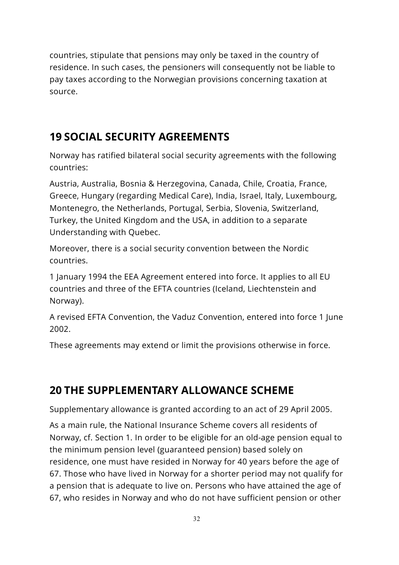countries, stipulate that pensions may only be taxed in the country of residence. In such cases, the pensioners will consequently not be liable to pay taxes according to the Norwegian provisions concerning taxation at source.

### <span id="page-32-0"></span>**19 SOCIAL SECURITY AGREEMENTS**

Norway has ratified bilateral social security agreements with the following countries:

Austria, Australia, Bosnia & Herzegovina, Canada, Chile, Croatia, France, Greece, Hungary (regarding Medical Care), India, Israel, Italy, Luxembourg, Montenegro, the Netherlands, Portugal, Serbia, Slovenia, Switzerland, Turkey, the United Kingdom and the USA, in addition to a separate Understanding with Quebec.

Moreover, there is a social security convention between the Nordic countries.

1 January 1994 the EEA Agreement entered into force. It applies to all EU countries and three of the EFTA countries (Iceland, Liechtenstein and Norway).

A revised EFTA Convention, the Vaduz Convention, entered into force 1 June 2002.

These agreements may extend or limit the provisions otherwise in force.

### <span id="page-32-1"></span>**20 THE SUPPLEMENTARY ALLOWANCE SCHEME**

Supplementary allowance is granted according to an act of 29 April 2005.

As a main rule, the National Insurance Scheme covers all residents of Norway, cf. Section 1. In order to be eligible for an old-age pension equal to the minimum pension level (guaranteed pension) based solely on residence, one must have resided in Norway for 40 years before the age of 67. Those who have lived in Norway for a shorter period may not qualify for a pension that is adequate to live on. Persons who have attained the age of 67, who resides in Norway and who do not have sufficient pension or other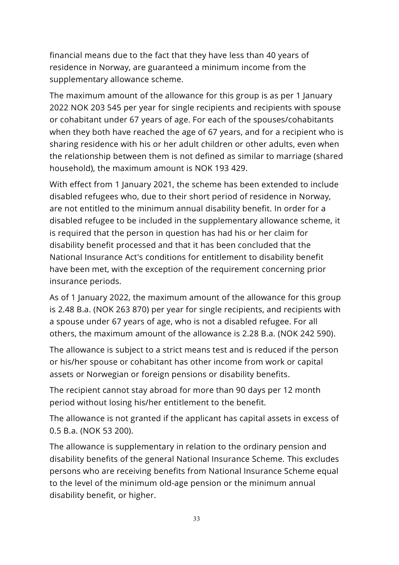financial means due to the fact that they have less than 40 years of residence in Norway, are guaranteed a minimum income from the supplementary allowance scheme.

The maximum amount of the allowance for this group is as per 1 January 2022 NOK 203 545 per year for single recipients and recipients with spouse or cohabitant under 67 years of age. For each of the spouses/cohabitants when they both have reached the age of 67 years, and for a recipient who is sharing residence with his or her adult children or other adults, even when the relationship between them is not defined as similar to marriage (shared household), the maximum amount is NOK 193 429.

With effect from 1 January 2021, the scheme has been extended to include disabled refugees who, due to their short period of residence in Norway, are not entitled to the minimum annual disability benefit. In order for a disabled refugee to be included in the supplementary allowance scheme, it is required that the person in question has had his or her claim for disability benefit processed and that it has been concluded that the National Insurance Act's conditions for entitlement to disability benefit have been met, with the exception of the requirement concerning prior insurance periods.

As of 1 January 2022, the maximum amount of the allowance for this group is 2.48 B.a. (NOK 263 870) per year for single recipients, and recipients with a spouse under 67 years of age, who is not a disabled refugee. For all others, the maximum amount of the allowance is 2.28 B.a. (NOK 242 590).

The allowance is subject to a strict means test and is reduced if the person or his/her spouse or cohabitant has other income from work or capital assets or Norwegian or foreign pensions or disability benefits.

The recipient cannot stay abroad for more than 90 days per 12 month period without losing his/her entitlement to the benefit.

The allowance is not granted if the applicant has capital assets in excess of 0.5 B.a. (NOK 53 200).

The allowance is supplementary in relation to the ordinary pension and disability benefits of the general National Insurance Scheme. This excludes persons who are receiving benefits from National Insurance Scheme equal to the level of the minimum old-age pension or the minimum annual disability benefit, or higher.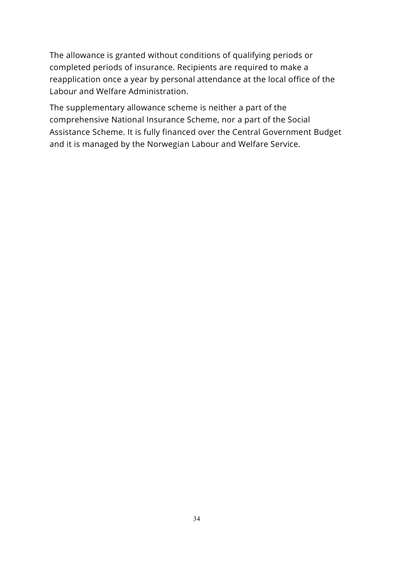The allowance is granted without conditions of qualifying periods or completed periods of insurance. Recipients are required to make a reapplication once a year by personal attendance at the local office of the Labour and Welfare Administration.

The supplementary allowance scheme is neither a part of the comprehensive National Insurance Scheme, nor a part of the Social Assistance Scheme. It is fully financed over the Central Government Budget and it is managed by the Norwegian Labour and Welfare Service.